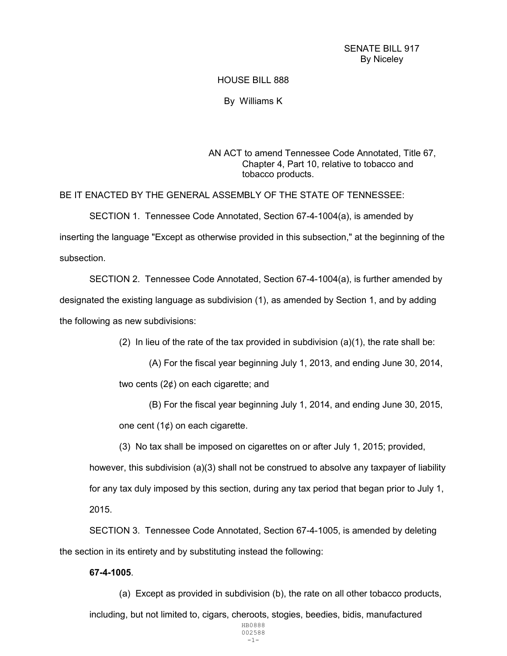## SENATE BILL 917 By Niceley

## HOUSE BILL 888

By Williams K

AN ACT to amend Tennessee Code Annotated, Title 67, Chapter 4, Part 10, relative to tobacco and tobacco products.

BE IT ENACTED BY THE GENERAL ASSEMBLY OF THE STATE OF TENNESSEE:

 SECTION 1. Tennessee Code Annotated, Section 67-4-1004(a), is amended by inserting the language "Except as otherwise provided in this subsection," at the beginning of the subsection.

 SECTION 2. Tennessee Code Annotated, Section 67-4-1004(a), is further amended by designated the existing language as subdivision (1), as amended by Section 1, and by adding the following as new subdivisions:

(2) In lieu of the rate of the tax provided in subdivision  $(a)(1)$ , the rate shall be:

 (A) For the fiscal year beginning July 1, 2013, and ending June 30, 2014, two cents (2¢) on each cigarette; and

 (B) For the fiscal year beginning July 1, 2014, and ending June 30, 2015, one cent  $(1¢)$  on each cigarette.

(3) No tax shall be imposed on cigarettes on or after July 1, 2015; provided,

however, this subdivision (a)(3) shall not be construed to absolve any taxpayer of liability for any tax duly imposed by this section, during any tax period that began prior to July 1, 2015.

 SECTION 3. Tennessee Code Annotated, Section 67-4-1005, is amended by deleting the section in its entirety and by substituting instead the following:

## 67-4-1005.

(a) Except as provided in subdivision (b), the rate on all other tobacco products,

including, but not limited to, cigars, cheroots, stogies, beedies, bidis, manufactured